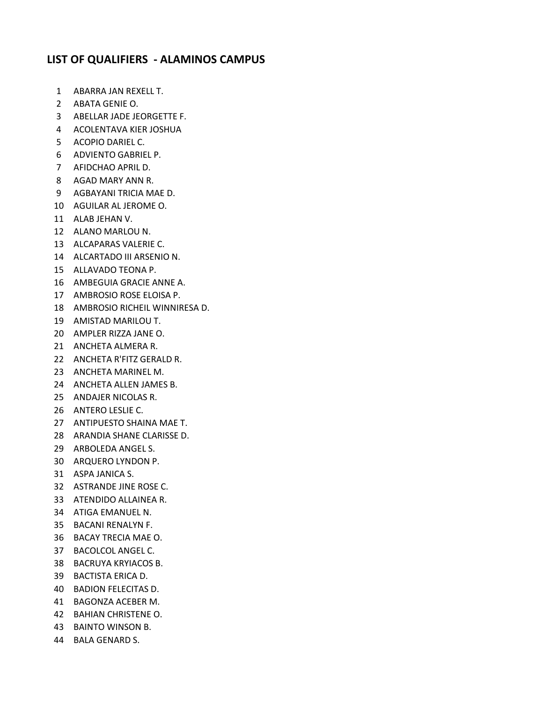## **LIST OF QUALIFIERS - ALAMINOS CAMPUS**

- ABARRA JAN REXELL T.
- ABATA GENIE O.
- ABELLAR JADE JEORGETTE F.
- ACOLENTAVA KIER JOSHUA
- ACOPIO DARIEL C.
- ADVIENTO GABRIEL P.
- AFIDCHAO APRIL D.
- AGAD MARY ANN R.
- AGBAYANI TRICIA MAE D.
- AGUILAR AL JEROME O.
- ALAB JEHAN V.
- ALANO MARLOU N.
- ALCAPARAS VALERIE C.
- ALCARTADO III ARSENIO N.
- ALLAVADO TEONA P.
- AMBEGUIA GRACIE ANNE A.
- AMBROSIO ROSE ELOISA P.
- AMBROSIO RICHEIL WINNIRESA D.
- AMISTAD MARILOU T.
- AMPLER RIZZA JANE O.
- ANCHETA ALMERA R.
- ANCHETA R'FITZ GERALD R.
- ANCHETA MARINEL M.
- ANCHETA ALLEN JAMES B.
- ANDAJER NICOLAS R.
- ANTERO LESLIE C.
- ANTIPUESTO SHAINA MAE T.
- ARANDIA SHANE CLARISSE D.
- ARBOLEDA ANGEL S.
- ARQUERO LYNDON P.
- ASPA JANICA S.
- ASTRANDE JINE ROSE C.
- ATENDIDO ALLAINEA R.
- ATIGA EMANUEL N.
- BACANI RENALYN F.
- BACAY TRECIA MAE O.
- BACOLCOL ANGEL C.
- BACRUYA KRYIACOS B.
- BACTISTA ERICA D.
- BADION FELECITAS D.
- BAGONZA ACEBER M.
- BAHIAN CHRISTENE O.
- BAINTO WINSON B.
- BALA GENARD S.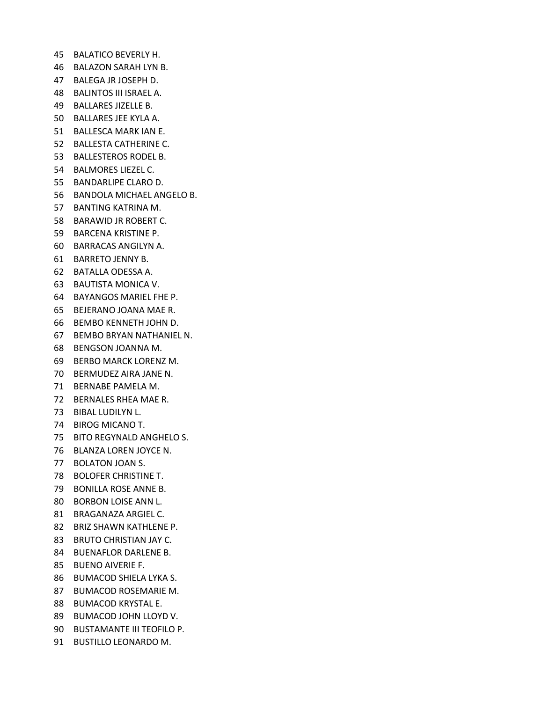- BALATICO BEVERLY H.
- BALAZON SARAH LYN B.
- BALEGA JR JOSEPH D.
- BALINTOS III ISRAEL A.
- BALLARES JIZELLE B.
- BALLARES JEE KYLA A.
- BALLESCA MARK IAN E.
- BALLESTA CATHERINE C.
- BALLESTEROS RODEL B.
- BALMORES LIEZEL C.
- BANDARLIPE CLARO D.
- BANDOLA MICHAEL ANGELO B.
- BANTING KATRINA M.
- BARAWID JR ROBERT C.
- BARCENA KRISTINE P.
- BARRACAS ANGILYN A.
- BARRETO JENNY B.
- BATALLA ODESSA A.
- BAUTISTA MONICA V.
- BAYANGOS MARIEL FHE P.
- BEJERANO JOANA MAE R.
- BEMBO KENNETH JOHN D.
- BEMBO BRYAN NATHANIEL N.
- BENGSON JOANNA M.
- BERBO MARCK LORENZ M.
- BERMUDEZ AIRA JANE N.
- BERNABE PAMELA M.
- BERNALES RHEA MAE R.
- BIBAL LUDILYN L.
- BIROG MICANO T.
- BITO REGYNALD ANGHELO S.
- BLANZA LOREN JOYCE N.
- BOLATON JOAN S.
- BOLOFER CHRISTINE T.
- BONILLA ROSE ANNE B.
- BORBON LOISE ANN L.
- BRAGANAZA ARGIEL C.
- BRIZ SHAWN KATHLENE P.
- BRUTO CHRISTIAN JAY C.
- BUENAFLOR DARLENE B.
- BUENO AIVERIE F.
- BUMACOD SHIELA LYKA S.
- BUMACOD ROSEMARIE M.
- BUMACOD KRYSTAL E.
- BUMACOD JOHN LLOYD V.
- BUSTAMANTE III TEOFILO P.
- BUSTILLO LEONARDO M.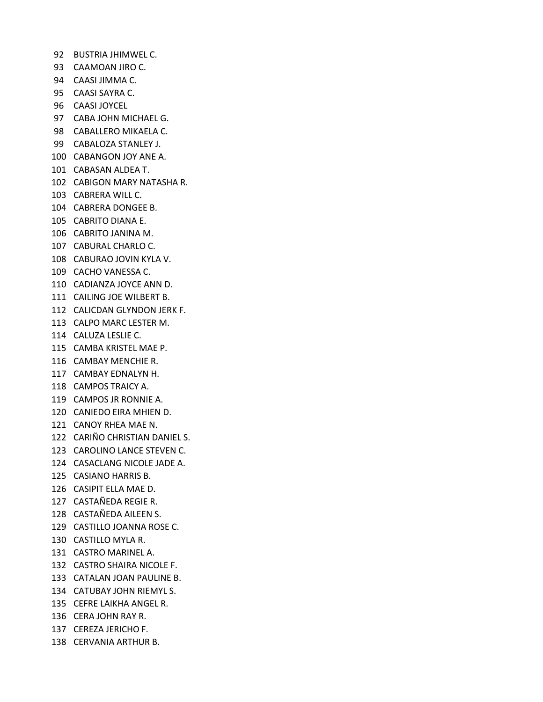- BUSTRIA JHIMWEL C.
- CAAMOAN JIRO C.
- CAASI JIMMA C.
- CAASI SAYRA C.
- CAASI JOYCEL
- CABA JOHN MICHAEL G.
- CABALLERO MIKAELA C.
- CABALOZA STANLEY J.
- CABANGON JOY ANE A.
- CABASAN ALDEA T.
- CABIGON MARY NATASHA R.
- CABRERA WILL C.
- CABRERA DONGEE B.
- CABRITO DIANA E.
- CABRITO JANINA M.
- CABURAL CHARLO C.
- CABURAO JOVIN KYLA V.
- CACHO VANESSA C.
- CADIANZA JOYCE ANN D.
- CAILING JOE WILBERT B.
- CALICDAN GLYNDON JERK F.
- CALPO MARC LESTER M.
- CALUZA LESLIE C.
- CAMBA KRISTEL MAE P.
- CAMBAY MENCHIE R.
- CAMBAY EDNALYN H.
- CAMPOS TRAICY A.
- CAMPOS JR RONNIE A.
- CANIEDO EIRA MHIEN D.
- CANOY RHEA MAE N.
- CARIÑO CHRISTIAN DANIEL S.
- CAROLINO LANCE STEVEN C.
- CASACLANG NICOLE JADE A.
- CASIANO HARRIS B.
- CASIPIT ELLA MAE D.
- CASTAÑEDA REGIE R.
- CASTAÑEDA AILEEN S.
- CASTILLO JOANNA ROSE C.
- CASTILLO MYLA R.
- CASTRO MARINEL A.
- CASTRO SHAIRA NICOLE F.
- CATALAN JOAN PAULINE B.
- CATUBAY JOHN RIEMYL S.
- CEFRE LAIKHA ANGEL R.
- CERA JOHN RAY R.
- CEREZA JERICHO F.
- CERVANIA ARTHUR B.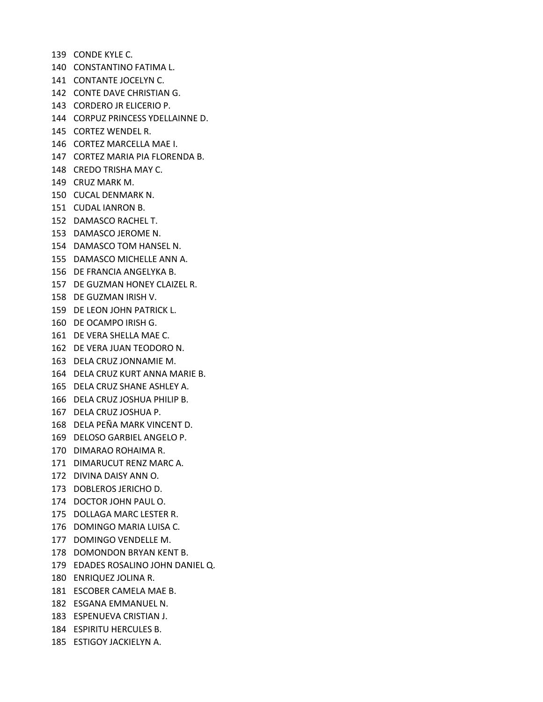CONDE KYLE C. CONSTANTINO FATIMA L. CONTANTE JOCELYN C. CONTE DAVE CHRISTIAN G. CORDERO JR ELICERIO P. CORPUZ PRINCESS YDELLAINNE D. CORTEZ WENDEL R. CORTEZ MARCELLA MAE I. CORTEZ MARIA PIA FLORENDA B. CREDO TRISHA MAY C. CRUZ MARK M. CUCAL DENMARK N. CUDAL IANRON B. DAMASCO RACHEL T. DAMASCO JEROME N. DAMASCO TOM HANSEL N. DAMASCO MICHELLE ANN A. DE FRANCIA ANGELYKA B. DE GUZMAN HONEY CLAIZEL R. DE GUZMAN IRISH V. DE LEON JOHN PATRICK L. DE OCAMPO IRISH G. DE VERA SHELLA MAE C. DE VERA JUAN TEODORO N. DELA CRUZ JONNAMIE M. DELA CRUZ KURT ANNA MARIE B. DELA CRUZ SHANE ASHLEY A. DELA CRUZ JOSHUA PHILIP B. DELA CRUZ JOSHUA P. DELA PEÑA MARK VINCENT D. DELOSO GARBIEL ANGELO P. DIMARAO ROHAIMA R. DIMARUCUT RENZ MARC A. DIVINA DAISY ANN O. DOBLEROS JERICHO D. DOCTOR JOHN PAUL O. DOLLAGA MARC LESTER R. DOMINGO MARIA LUISA C. DOMINGO VENDELLE M. DOMONDON BRYAN KENT B. EDADES ROSALINO JOHN DANIEL Q. ENRIQUEZ JOLINA R. ESCOBER CAMELA MAE B. ESGANA EMMANUEL N. ESPENUEVA CRISTIAN J. ESPIRITU HERCULES B. ESTIGOY JACKIELYN A.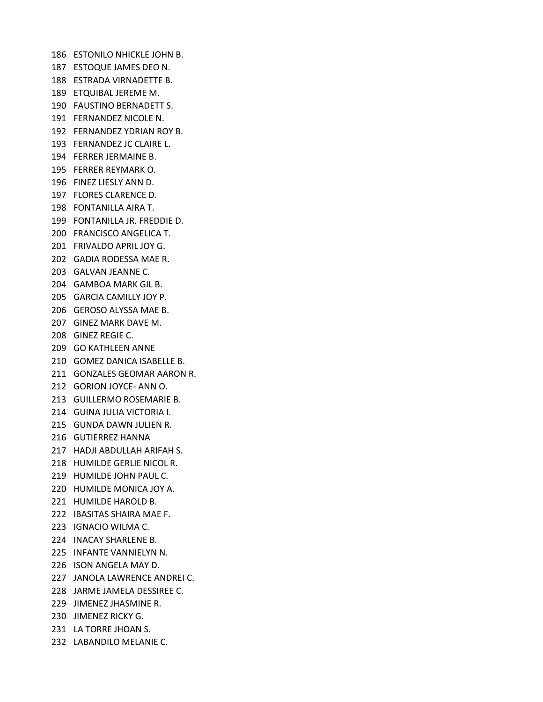ESTONILO NHICKLE JOHN B. ESTOQUE JAMES DEO N. ESTRADA VIRNADETTE B. ETQUIBAL JEREME M. FAUSTINO BERNADETT S. FERNANDEZ NICOLE N. FERNANDEZ YDRIAN ROY B. FERNANDEZ JC CLAIRE L. FERRER JERMAINE B. FERRER REYMARK O. FINEZ LIESLY ANN D. FLORES CLARENCE D. FONTANILLA AIRA T. FONTANILLA JR. FREDDIE D. FRANCISCO ANGELICA T. FRIVALDO APRIL JOY G. GADIA RODESSA MAE R. GALVAN JEANNE C. GAMBOA MARK GIL B. GARCIA CAMILLY JOY P. GEROSO ALYSSA MAE B. GINEZ MARK DAVE M. GINEZ REGIE C. GO KATHLEEN ANNE GOMEZ DANICA ISABELLE B. GONZALES GEOMAR AARON R. GORION JOYCE- ANN O. GUILLERMO ROSEMARIE B. GUINA JULIA VICTORIA I. GUNDA DAWN JULIEN R. GUTIERREZ HANNA HADJI ABDULLAH ARIFAH S. HUMILDE GERLIE NICOL R. HUMILDE JOHN PAUL C. HUMILDE MONICA JOY A. HUMILDE HAROLD B. IBASITAS SHAIRA MAE F. IGNACIO WILMA C. INACAY SHARLENE B. INFANTE VANNIELYN N. ISON ANGELA MAY D. JANOLA LAWRENCE ANDREI C. JARME JAMELA DESSIREE C. JIMENEZ JHASMINE R. JIMENEZ RICKY G. LA TORRE JHOAN S. LABANDILO MELANIE C.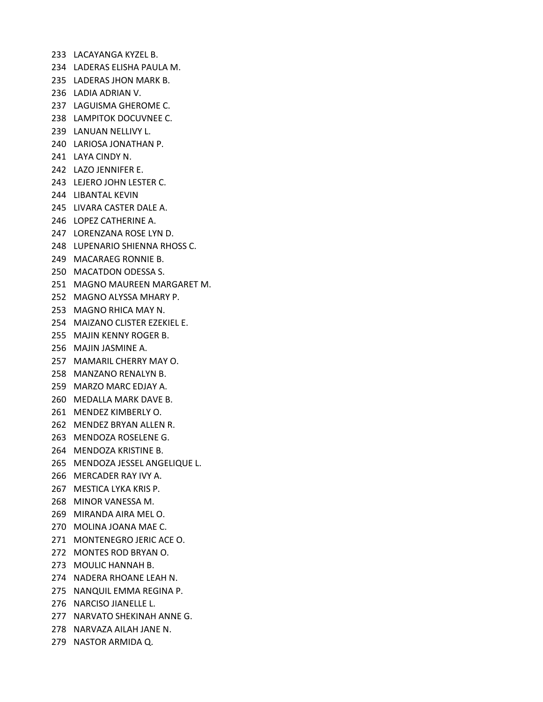LACAYANGA KYZEL B. LADERAS ELISHA PAULA M. LADERAS JHON MARK B. LADIA ADRIAN V. LAGUISMA GHEROME C. LAMPITOK DOCUVNEE C. LANUAN NELLIVY L. LARIOSA JONATHAN P. LAYA CINDY N. LAZO JENNIFER E. LEJERO JOHN LESTER C. LIBANTAL KEVIN LIVARA CASTER DALE A. LOPEZ CATHERINE A. LORENZANA ROSE LYN D. LUPENARIO SHIENNA RHOSS C. MACARAEG RONNIE B. MACATDON ODESSA S. MAGNO MAUREEN MARGARET M. MAGNO ALYSSA MHARY P. MAGNO RHICA MAY N. MAIZANO CLISTER EZEKIEL E. MAJIN KENNY ROGER B. MAJIN JASMINE A. MAMARIL CHERRY MAY O. MANZANO RENALYN B. MARZO MARC EDJAY A. MEDALLA MARK DAVE B. MENDEZ KIMBERLY O. MENDEZ BRYAN ALLEN R. MENDOZA ROSELENE G. MENDOZA KRISTINE B. MENDOZA JESSEL ANGELIQUE L. MERCADER RAY IVY A. MESTICA LYKA KRIS P. MINOR VANESSA M. MIRANDA AIRA MEL O. MOLINA JOANA MAE C. MONTENEGRO JERIC ACE O. MONTES ROD BRYAN O. MOULIC HANNAH B. NADERA RHOANE LEAH N. NANQUIL EMMA REGINA P. NARCISO JIANELLE L. NARVATO SHEKINAH ANNE G. NARVAZA AILAH JANE N.

NASTOR ARMIDA Q.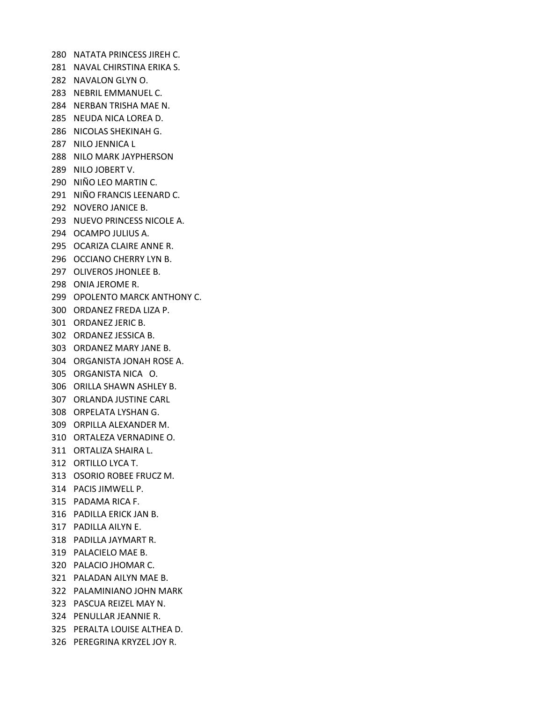NATATA PRINCESS JIREH C. NAVAL CHIRSTINA ERIKA S. NAVALON GLYN O. NEBRIL EMMANUEL C. NERBAN TRISHA MAE N. NEUDA NICA LOREA D. NICOLAS SHEKINAH G. NILO JENNICA L NILO MARK JAYPHERSON NILO JOBERT V. NIÑO LEO MARTIN C. NIÑO FRANCIS LEENARD C. NOVERO JANICE B. NUEVO PRINCESS NICOLE A. OCAMPO JULIUS A. OCARIZA CLAIRE ANNE R. OCCIANO CHERRY LYN B. OLIVEROS JHONLEE B. ONIA JEROME R. OPOLENTO MARCK ANTHONY C. ORDANEZ FREDA LIZA P. ORDANEZ JERIC B. ORDANEZ JESSICA B. ORDANEZ MARY JANE B. ORGANISTA JONAH ROSE A. ORGANISTA NICA O. ORILLA SHAWN ASHLEY B. ORLANDA JUSTINE CARL ORPELATA LYSHAN G. ORPILLA ALEXANDER M. ORTALEZA VERNADINE O. ORTALIZA SHAIRA L. ORTILLO LYCA T. OSORIO ROBEE FRUCZ M. PACIS JIMWELL P. PADAMA RICA F. PADILLA ERICK JAN B. PADILLA AILYN E. PADILLA JAYMART R. PALACIELO MAE B. PALACIO JHOMAR C. PALADAN AILYN MAE B. PALAMINIANO JOHN MARK PASCUA REIZEL MAY N. PENULLAR JEANNIE R. PERALTA LOUISE ALTHEA D. PEREGRINA KRYZEL JOY R.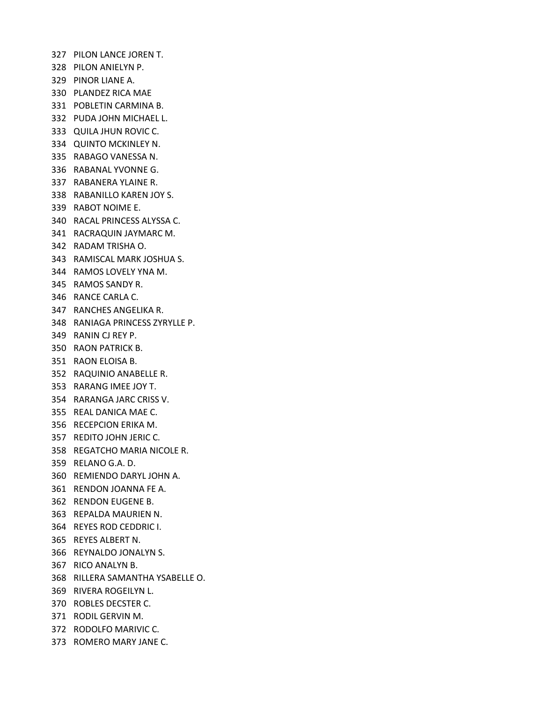PILON LANCE JOREN T. PILON ANIELYN P. PINOR LIANE A. PLANDEZ RICA MAE POBLETIN CARMINA B. PUDA JOHN MICHAEL L. QUILA JHUN ROVIC C. QUINTO MCKINLEY N. RABAGO VANESSA N. RABANAL YVONNE G. RABANERA YLAINE R. RABANILLO KAREN JOY S. RABOT NOIME E. RACAL PRINCESS ALYSSA C. RACRAQUIN JAYMARC M. RADAM TRISHA O. RAMISCAL MARK JOSHUA S. RAMOS LOVELY YNA M. RAMOS SANDY R. RANCE CARLA C. RANCHES ANGELIKA R. RANIAGA PRINCESS ZYRYLLE P. RANIN CJ REY P. RAON PATRICK B. RAON ELOISA B. RAQUINIO ANABELLE R. RARANG IMEE JOY T. RARANGA JARC CRISS V. REAL DANICA MAE C. RECEPCION ERIKA M. REDITO JOHN JERIC C. REGATCHO MARIA NICOLE R. RELANO G.A. D. REMIENDO DARYL JOHN A. RENDON JOANNA FE A. RENDON EUGENE B. REPALDA MAURIEN N. REYES ROD CEDDRIC I. REYES ALBERT N. REYNALDO JONALYN S. RICO ANALYN B. RILLERA SAMANTHA YSABELLE O. RIVERA ROGEILYN L. ROBLES DECSTER C. RODIL GERVIN M. RODOLFO MARIVIC C. ROMERO MARY JANE C.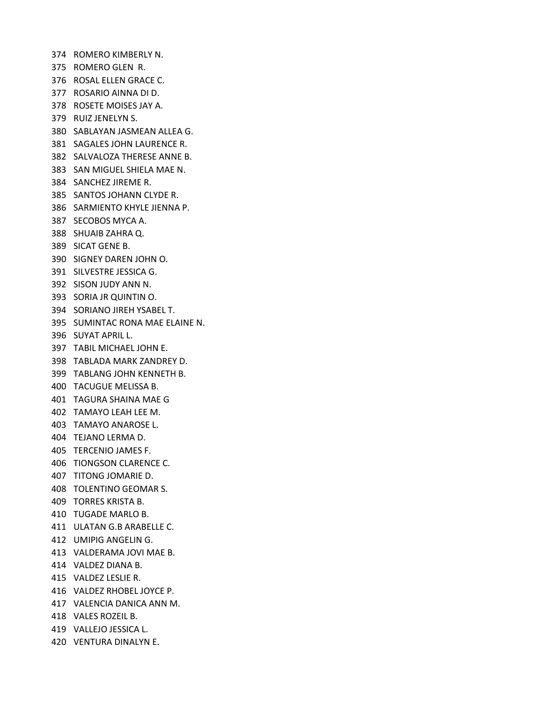ROMERO KIMBERLY N. ROMERO GLEN R. ROSAL ELLEN GRACE C. ROSARIO AINNA DI D. ROSETE MOISES JAY A. RUIZ JENELYN S. SABLAYAN JASMEAN ALLEA G. SAGALES JOHN LAURENCE R. SALVALOZA THERESE ANNE B. SAN MIGUEL SHIELA MAE N. SANCHEZ JIREME R. SANTOS JOHANN CLYDE R. SARMIENTO KHYLE JIENNA P. SECOBOS MYCA A. SHUAIB ZAHRA Q. SICAT GENE B. SIGNEY DAREN JOHN O. SILVESTRE JESSICA G. SISON JUDY ANN N. SORIA JR QUINTIN O. SORIANO JIREH YSABEL T. SUMINTAC RONA MAE ELAINE N. SUYAT APRIL L. TABIL MICHAEL JOHN E. TABLADA MARK ZANDREY D. TABLANG JOHN KENNETH B. TACUGUE MELISSA B. TAGURA SHAINA MAE G TAMAYO LEAH LEE M. TAMAYO ANAROSE L. TEJANO LERMA D. TERCENIO JAMES F. TIONGSON CLARENCE C. TITONG JOMARIE D. TOLENTINO GEOMAR S. TORRES KRISTA B. TUGADE MARLO B. ULATAN G.B ARABELLE C. UMIPIG ANGELIN G. VALDERAMA JOVI MAE B. VALDEZ DIANA B. VALDEZ LESLIE R. VALDEZ RHOBEL JOYCE P. VALENCIA DANICA ANN M. VALES ROZEIL B. VALLEJO JESSICA L. VENTURA DINALYN E.